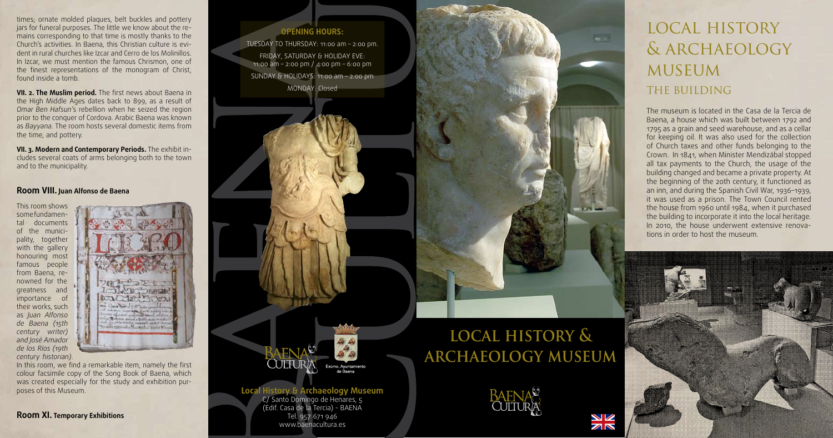# local history & archaeology **MUSEUM** THE BUILDING

The museum is located in the Casa de la Tercia de Baena, a house which was built between 1792 and 1795 as a grain and seed warehouse, and as a cellar for keeping oil. It was also used for the collection of Church taxes and other funds belonging to the Crown. In 1841, when Minister Mendizábal stopped all tax payments to the Church, the usage of the building changed and became a private property. At the beginning of the 20th century, it functioned as an inn, and during the Spanish Civil War, 1936–1939, it was used as a prison. The Town Council rented the house from 1960 until 1984, when it purchased the building to incorporate it into the local heritage. In 2010, the house underwent extensive renovations in order to host the museum.



**VII. 2. The Muslim period.** The first news about Baena in the High Middle Ages dates back to 899, as a result of *Omar Ben Hafsun'*s rebellion when he seized the region prior to the conquer of Cordova. Arabic Baena was known as *Bayyana.* The room hosts several domestic items from the time, and pottery.

times; ornate molded plaques, belt buckles and pottery jars for funeral purposes. The little we know about the remains corresponding to that time is mostly thanks to the Church's activities. In Baena, this Christian culture is evident in rural churches like Izcar and Cerro de los Molinillos. In Izcar, we must mention the famous Chrismon, one of the finest representations of the monogram of Christ, found inside a tomb.

TUESDAY TO THURSDAY: 11:00 am - 2:00 pm. Friday, Saturday & holiday eve: 11:00 am – 2:00 pm / 4:00 pm – 6:00 pm Sunday & holidays: 11:00 am – 2:00 pm Monday: Closed



**VII. 3. Modern and Contemporary Periods.** The exhibit includes several coats of arms belonging both to the town and to the municipality.

#### **Room VIII. Juan Alfonso de Baena**

This room shows some fundamental documents of the municipality, together with the gallery honouring most famous people from Baena, renowned for the greatness and importance of their works, such as *Juan Alfonso de Baena (15th century writer) and José Amador de los Ríos (19th century historian)*.



In this room, we find a remarkable item, namely the first colour facsimile copy of the Song Book of Baena, which was created especially for the study and exhibition purposes of this Museum.

**Room XI. Temporary Exhibitions**

## **Local History & Archaeology Museum**

C/ Santo Domingo de Henares, 5 (Edif. Casa de la Tercia) - BAENA Tel. 957 671 946 www.baenacultura.es

### **Opening hours:**

# **local history & archaeology museum**



ØÑ